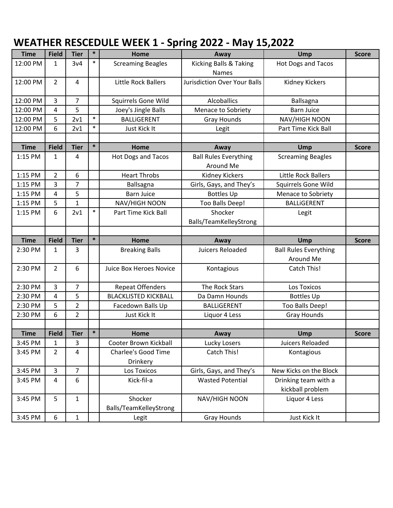## **WEATHER RESCEDULE WEEK 1 ‐ Spring 2022 ‐ May 15,2022**

| <b>Time</b> | <b>Field</b>   | <b>Tier</b>    | $\ast$ | Home                        | Away                                | Ump                          | <b>Score</b> |
|-------------|----------------|----------------|--------|-----------------------------|-------------------------------------|------------------------------|--------------|
| 12:00 PM    | $\mathbf{1}$   | 3v4            | $\ast$ | <b>Screaming Beagles</b>    | Kicking Balls & Taking              | <b>Hot Dogs and Tacos</b>    |              |
|             |                |                |        |                             | <b>Names</b>                        |                              |              |
| 12:00 PM    | $\overline{2}$ | 4              |        | Little Rock Ballers         | <b>Jurisdiction Over Your Balls</b> | Kidney Kickers               |              |
|             |                |                |        |                             |                                     |                              |              |
| 12:00 PM    | 3              | $\overline{7}$ |        | Squirrels Gone Wild         | <b>Alcoballics</b>                  | Ballsagna                    |              |
| 12:00 PM    | 4              | 5              |        | Joey's Jingle Balls         | Menace to Sobriety                  | <b>Barn Juice</b>            |              |
| 12:00 PM    | 5              | 2v1            | $\ast$ | <b>BALLIGERENT</b>          | <b>Gray Hounds</b>                  | NAV/HIGH NOON                |              |
| 12:00 PM    | 6              | 2v1            | $\ast$ | Just Kick It                | Legit                               | Part Time Kick Ball          |              |
|             |                |                |        |                             |                                     |                              |              |
| <b>Time</b> | <b>Field</b>   | <b>Tier</b>    | $\ast$ | Home                        | Away                                | Ump                          | <b>Score</b> |
| 1:15 PM     | 1              | 4              |        | Hot Dogs and Tacos          | <b>Ball Rules Everything</b>        | <b>Screaming Beagles</b>     |              |
|             |                |                |        |                             | Around Me                           |                              |              |
| 1:15 PM     | $\overline{2}$ | 6              |        | <b>Heart Throbs</b>         | <b>Kidney Kickers</b>               | <b>Little Rock Ballers</b>   |              |
| 1:15 PM     | 3              | 7              |        | Ballsagna                   | Girls, Gays, and They's             | <b>Squirrels Gone Wild</b>   |              |
| 1:15 PM     | 4              | 5              |        | <b>Barn Juice</b>           | <b>Bottles Up</b>                   | Menace to Sobriety           |              |
| 1:15 PM     | 5              | $\mathbf{1}$   |        | NAV/HIGH NOON               | Too Balls Deep!                     | <b>BALLIGERENT</b>           |              |
| 1:15 PM     | 6              | 2v1            | $\ast$ | Part Time Kick Ball         | Shocker                             | Legit                        |              |
|             |                |                |        |                             | Balls/TeamKelleyStrong              |                              |              |
|             |                |                |        |                             |                                     |                              |              |
|             |                |                |        |                             |                                     |                              |              |
| <b>Time</b> | <b>Field</b>   | <b>Tier</b>    | $\ast$ | Home                        | Away                                | Ump                          | <b>Score</b> |
| 2:30 PM     | 1              | 3              |        | <b>Breaking Balls</b>       | Juicers Reloaded                    | <b>Ball Rules Everything</b> |              |
|             |                |                |        |                             |                                     | Around Me                    |              |
| 2:30 PM     | $\overline{2}$ | 6              |        | Juice Box Heroes Novice     | Kontagious                          | Catch This!                  |              |
|             |                |                |        |                             |                                     |                              |              |
| 2:30 PM     | 3              | $\overline{7}$ |        | <b>Repeat Offenders</b>     | The Rock Stars                      | Los Toxicos                  |              |
| 2:30 PM     | 4              | 5              |        | <b>BLACKLISTED KICKBALL</b> | Da Damn Hounds                      | <b>Bottles Up</b>            |              |
| 2:30 PM     | 5              | $\overline{2}$ |        | Facedown Balls Up           | <b>BALLIGERENT</b>                  | Too Balls Deep!              |              |
| 2:30 PM     | 6              | $\overline{2}$ |        | Just Kick It                | Liquor 4 Less                       | Gray Hounds                  |              |
|             |                |                |        |                             |                                     |                              |              |
| <b>Time</b> | <b>Field</b>   | <b>Tier</b>    | $\ast$ | Home                        | Away                                | Ump                          | <b>Score</b> |
| 3:45 PM     | 1              | 3              |        | Cooter Brown Kickball       | Lucky Losers                        | Juicers Reloaded             |              |
| 3:45 PM     | $\overline{2}$ | 4              |        | <b>Charlee's Good Time</b>  | Catch This!                         | Kontagious                   |              |
|             |                |                |        | Drinkery                    |                                     |                              |              |
| 3:45 PM     | $\overline{3}$ | $\overline{7}$ |        | Los Toxicos                 | Girls, Gays, and They's             | New Kicks on the Block       |              |
| 3:45 PM     | 4              | 6              |        | Kick-fil-a                  | <b>Wasted Potential</b>             | Drinking team with a         |              |
|             |                |                |        |                             |                                     | kickball problem             |              |
| 3:45 PM     | 5              | $\mathbf 1$    |        | Shocker                     | NAV/HIGH NOON                       | Liquor 4 Less                |              |
|             |                |                |        | Balls/TeamKelleyStrong      |                                     | Just Kick It                 |              |